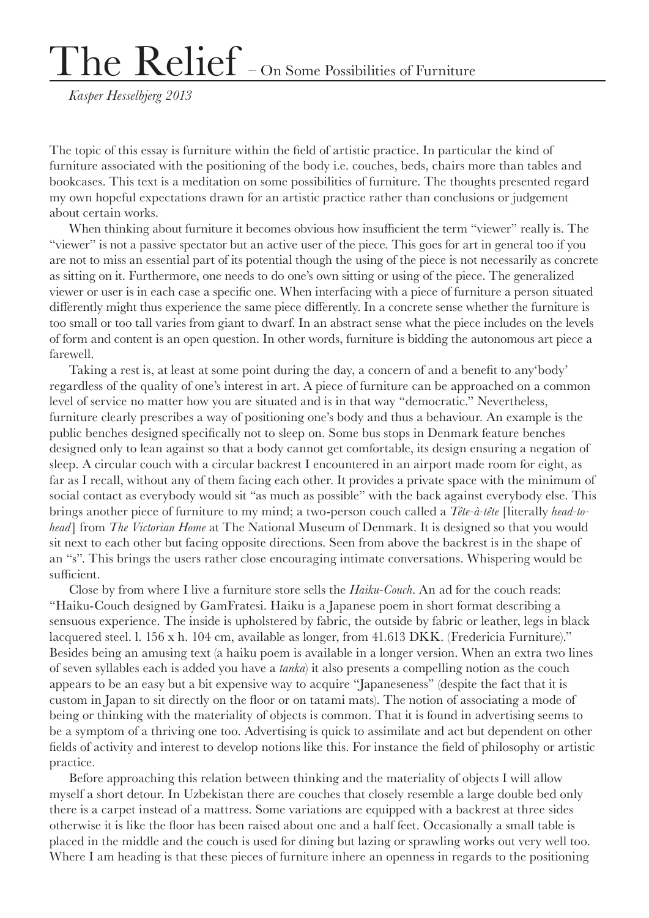## The Relief – On Some Possibilities of Furniture

*Kasper Hesselbjerg 2013*

The topic of this essay is furniture within the field of artistic practice. In particular the kind of furniture associated with the positioning of the body i.e. couches, beds, chairs more than tables and bookcases. This text is a meditation on some possibilities of furniture. The thoughts presented regard my own hopeful expectations drawn for an artistic practice rather than conclusions or judgement about certain works.

When thinking about furniture it becomes obvious how insufficient the term "viewer" really is. The "viewer" is not a passive spectator but an active user of the piece. This goes for art in general too if you are not to miss an essential part of its potential though the using of the piece is not necessarily as concrete as sitting on it. Furthermore, one needs to do one's own sitting or using of the piece. The generalized viewer or user is in each case a specific one. When interfacing with a piece of furniture a person situated differently might thus experience the same piece differently. In a concrete sense whether the furniture is too small or too tall varies from giant to dwarf. In an abstract sense what the piece includes on the levels of form and content is an open question. In other words, furniture is bidding the autonomous art piece a farewell.

Taking a rest is, at least at some point during the day, a concern of and a benefit to any'body' regardless of the quality of one's interest in art. A piece of furniture can be approached on a common level of service no matter how you are situated and is in that way "democratic." Nevertheless, furniture clearly prescribes a way of positioning one's body and thus a behaviour. An example is the public benches designed specifically not to sleep on. Some bus stops in Denmark feature benches designed only to lean against so that a body cannot get comfortable, its design ensuring a negation of sleep. A circular couch with a circular backrest I encountered in an airport made room for eight, as far as I recall, without any of them facing each other. It provides a private space with the minimum of social contact as everybody would sit "as much as possible" with the back against everybody else. This brings another piece of furniture to my mind; a two-person couch called a *Tête-à-tête* [literally *head-tohead*] from *The Victorian Home* at The National Museum of Denmark. It is designed so that you would sit next to each other but facing opposite directions. Seen from above the backrest is in the shape of an "s". This brings the users rather close encouraging intimate conversations. Whispering would be sufficient.

Close by from where I live a furniture store sells the *Haiku-Couch*. An ad for the couch reads: "Haiku-Couch designed by GamFratesi. Haiku is a Japanese poem in short format describing a sensuous experience. The inside is upholstered by fabric, the outside by fabric or leather, legs in black lacquered steel. l. 156 x h. 104 cm, available as longer, from 41.613 DKK. (Fredericia Furniture)." Besides being an amusing text (a haiku poem is available in a longer version. When an extra two lines of seven syllables each is added you have a *tanka*) it also presents a compelling notion as the couch appears to be an easy but a bit expensive way to acquire "Japaneseness" (despite the fact that it is custom in Japan to sit directly on the floor or on tatami mats). The notion of associating a mode of being or thinking with the materiality of objects is common. That it is found in advertising seems to be a symptom of a thriving one too. Advertising is quick to assimilate and act but dependent on other fields of activity and interest to develop notions like this. For instance the field of philosophy or artistic practice.

Before approaching this relation between thinking and the materiality of objects I will allow myself a short detour. In Uzbekistan there are couches that closely resemble a large double bed only there is a carpet instead of a mattress. Some variations are equipped with a backrest at three sides otherwise it is like the floor has been raised about one and a half feet. Occasionally a small table is placed in the middle and the couch is used for dining but lazing or sprawling works out very well too. Where I am heading is that these pieces of furniture inhere an openness in regards to the positioning